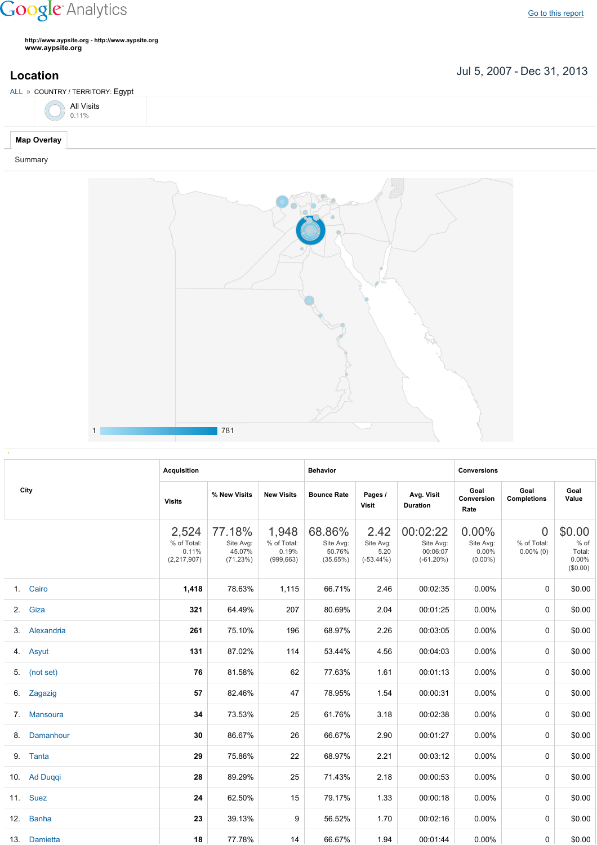## **Google** Analytics

**http://www.aypsite.org http://www.aypsite.org www.aypsite.org**

**Location** Jul 5, 2007 - Dec 31, 2013

| ALL » COUNTRY / TERRITORY: Egypt |  |
|----------------------------------|--|
| $\sum_{0.11\%}$                  |  |
| <b>Map Overlay</b>               |  |

## Summary



|  | City          |                                                |                                           |                                             |                                           |                                           |                                                  |                                              |                                               |                                               |  |
|--|---------------|------------------------------------------------|-------------------------------------------|---------------------------------------------|-------------------------------------------|-------------------------------------------|--------------------------------------------------|----------------------------------------------|-----------------------------------------------|-----------------------------------------------|--|
|  |               | <b>Acquisition</b>                             |                                           |                                             | <b>Behavior</b>                           |                                           |                                                  | <b>Conversions</b>                           |                                               |                                               |  |
|  |               | <b>Visits</b>                                  | % New Visits                              | <b>New Visits</b>                           | <b>Bounce Rate</b>                        | Pages /<br>Visit                          | Avg. Visit<br><b>Duration</b>                    | Goal<br>Conversion<br>Rate                   | Goal<br><b>Completions</b>                    | Goal<br>Value                                 |  |
|  |               | 2,524<br>% of Total:<br>0.11%<br>(2, 217, 907) | 77.18%<br>Site Avg:<br>45.07%<br>(71.23%) | 1,948<br>% of Total:<br>0.19%<br>(999, 663) | 68.86%<br>Site Avg:<br>50.76%<br>(35.65%) | 2.42<br>Site Avg:<br>5.20<br>$(-53.44\%)$ | 00:02:22<br>Site Avg:<br>00:06:07<br>$(-61.20%)$ | $0.00\%$<br>Site Avg:<br>0.00%<br>$(0.00\%)$ | $\overline{0}$<br>% of Total:<br>$0.00\%$ (0) | \$0.00<br>% of<br>Total:<br>0.00%<br>(\$0.00) |  |
|  | 1. Cairo      | 1,418                                          | 78.63%                                    | 1,115                                       | 66.71%                                    | 2.46                                      | 00:02:35                                         | 0.00%                                        | $\Omega$                                      | \$0.00                                        |  |
|  | 2. Giza       | 321                                            | 64.49%                                    | 207                                         | 80.69%                                    | 2.04                                      | 00:01:25                                         | 0.00%                                        | 0                                             | \$0.00                                        |  |
|  | 3. Alexandria | 261                                            | 75.10%                                    | 196                                         | 68.97%                                    | 2.26                                      | 00:03:05                                         | 0.00%                                        | $\Omega$                                      | \$0.00                                        |  |
|  | 4. Asyut      | 131                                            | 87.02%                                    | 114                                         | 53.44%                                    | 4.56                                      | 00:04:03                                         | 0.00%                                        | 0                                             | \$0.00                                        |  |
|  | 5. (not set)  | 76                                             | 81.58%                                    | 62                                          | 77.63%                                    | 1.61                                      | 00:01:13                                         | 0.00%                                        | 0                                             | \$0.00                                        |  |
|  | 6. Zagazig    | 57                                             | 82.46%                                    | 47                                          | 78.95%                                    | 1.54                                      | 00:00:31                                         | 0.00%                                        | 0                                             | \$0.00                                        |  |
|  | 7. Mansoura   | 34                                             | 73.53%                                    | 25                                          | 61.76%                                    | 3.18                                      | 00:02:38                                         | 0.00%                                        | 0                                             | \$0.00                                        |  |
|  | 8. Damanhour  | 30                                             | 86.67%                                    | 26                                          | 66.67%                                    | 2.90                                      | 00:01:27                                         | 0.00%                                        | 0                                             | \$0.00                                        |  |
|  | 9. Tanta      | 29                                             | 75.86%                                    | 22                                          | 68.97%                                    | 2.21                                      | 00:03:12                                         | 0.00%                                        | $\Omega$                                      | \$0.00                                        |  |
|  | 10. Ad Duggi  | 28                                             | 89.29%                                    | 25                                          | 71.43%                                    | 2.18                                      | 00:00:53                                         | 0.00%                                        | $\Omega$                                      | \$0.00                                        |  |
|  | 11. Suez      | 24                                             | 62.50%                                    | 15                                          | 79.17%                                    | 1.33                                      | 00:00:18                                         | 0.00%                                        | $\Omega$                                      | \$0.00                                        |  |
|  | 12. Banha     | 23                                             | 39.13%                                    | 9                                           | 56.52%                                    | 1.70                                      | 00:02:16                                         | 0.00%                                        | $\Omega$                                      | \$0.00                                        |  |
|  | 13. Damietta  | 18                                             | 77.78%                                    | 14                                          | 66.67%                                    | 1.94                                      | 00:01:44                                         | 0.00%                                        | 0                                             | \$0.00                                        |  |